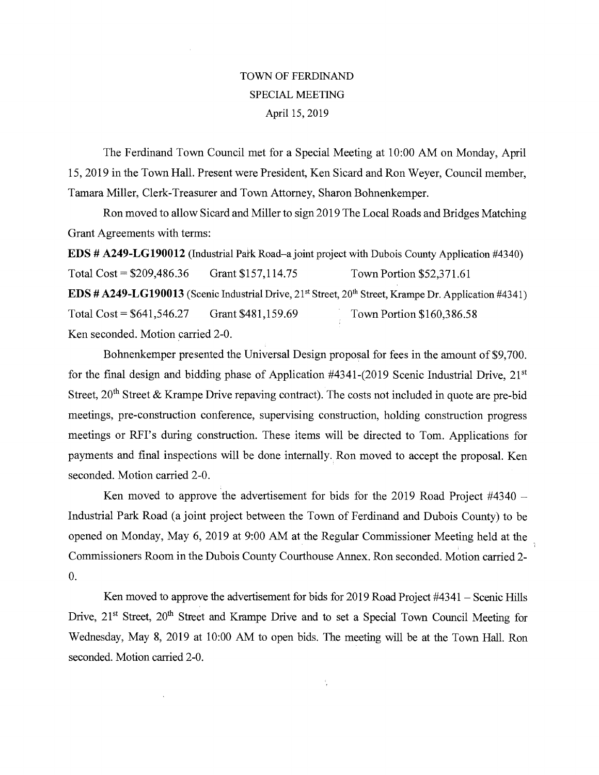## TOWN OF FERD1NAND SPECIAL MEETING April 15, 2019

The Ferdinand Town Council met for a Special Meeting at 10:00 AM on Monday, April 15, 2019 in the Town Hall. Present were President, Ken Sicard and Ron Weyer, Council member, Tamara Miller, Clerk-Treasurer and Town Attorney, Sharon Bohnenkemper.

Ron moved to allow Sicard and Miller to sign 2019 The Local Roads and Bridges Matching Grant Agreements with terms:

**EDS # A249-LG190012 (Industrial Park Road–a joint project with Dubois County Application #4340)** Total Cost = \$209,486.36 Grant \$157,114.75 Town Portion \$52,371.61 **EDS # A249-LG190013 (Scenic Industrial Drive, 21<sup>st</sup> Street, 20<sup>th</sup> Street, Krampe Dr. Application #4341)** Total Cost = \$641,546.27 Grant \$481,159.69 Town Portion \$160,386.58 Ken seconded. Motion carried 2-0.

Bohnenkemper presented the Universal Design proposal for fees in the amount of \$9,700. for the final design and bidding phase of Application  $\#4341-(2019)$  Scenic Industrial Drive,  $21<sup>st</sup>$ Street,  $20<sup>th</sup>$  Street & Krampe Drive repaving contract). The costs not included in quote are pre-bid meetings, pre-construction conference, supervising construction, holding construction progress meetings or RFI's during construction. These items will be directed to Tom. Applications for payments and final inspections will be done internally. Ron moved to accept the proposal. Ken seconded. Motion carried 2-0.

Ken moved to approve the advertisement for bids for the 2019 Road Project #4340 — Industrial Park Road (a joint project between the Town of Ferdinand and Dubois County) to be opened on Monday, May 6, 2019 at 9:00 AM at the Regular Commissioner Meeting held at the Commissioners Room in the Dubois County Courthouse Annex. Ron seconded. Motion carried 2- 0.

Ken moved to approve the advertisement for bids for 2019 Road Project #4341 — Scenic Hills Drive, 21<sup>st</sup> Street, 20<sup>th</sup> Street and Krampe Drive and to set a Special Town Council Meeting for Wednesday, May 8, 2019 at 10:00 AM to open bids. The meeting will be at the Town Hall. Ron seconded. Motion carried 2-0.

 $\frac{1}{3}$